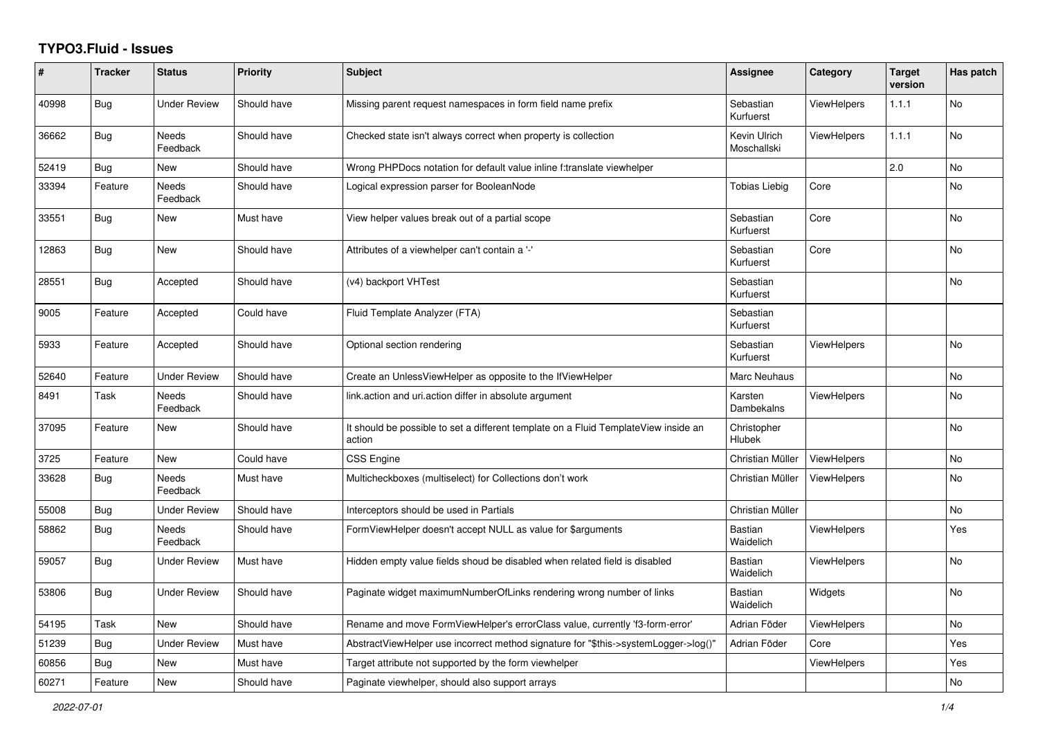## **TYPO3.Fluid - Issues**

| $\#$  | <b>Tracker</b> | <b>Status</b>            | <b>Priority</b> | <b>Subject</b>                                                                                | Assignee                    | Category           | <b>Target</b><br>version | Has patch |
|-------|----------------|--------------------------|-----------------|-----------------------------------------------------------------------------------------------|-----------------------------|--------------------|--------------------------|-----------|
| 40998 | Bug            | <b>Under Review</b>      | Should have     | Missing parent request namespaces in form field name prefix                                   | Sebastian<br>Kurfuerst      | <b>ViewHelpers</b> | 1.1.1                    | <b>No</b> |
| 36662 | Bug            | Needs<br>Feedback        | Should have     | Checked state isn't always correct when property is collection                                | Kevin Ulrich<br>Moschallski | <b>ViewHelpers</b> | 1.1.1                    | No        |
| 52419 | <b>Bug</b>     | New                      | Should have     | Wrong PHPDocs notation for default value inline f:translate viewhelper                        |                             |                    | 2.0                      | No        |
| 33394 | Feature        | Needs<br>Feedback        | Should have     | Logical expression parser for BooleanNode                                                     | Tobias Liebig               | Core               |                          | <b>No</b> |
| 33551 | Bug            | New                      | Must have       | View helper values break out of a partial scope                                               | Sebastian<br>Kurfuerst      | Core               |                          | <b>No</b> |
| 12863 | <b>Bug</b>     | New                      | Should have     | Attributes of a viewhelper can't contain a '-'                                                | Sebastian<br>Kurfuerst      | Core               |                          | <b>No</b> |
| 28551 | Bug            | Accepted                 | Should have     | (v4) backport VHTest                                                                          | Sebastian<br>Kurfuerst      |                    |                          | No        |
| 9005  | Feature        | Accepted                 | Could have      | Fluid Template Analyzer (FTA)                                                                 | Sebastian<br>Kurfuerst      |                    |                          |           |
| 5933  | Feature        | Accepted                 | Should have     | Optional section rendering                                                                    | Sebastian<br>Kurfuerst      | <b>ViewHelpers</b> |                          | <b>No</b> |
| 52640 | Feature        | <b>Under Review</b>      | Should have     | Create an UnlessViewHelper as opposite to the IfViewHelper                                    | Marc Neuhaus                |                    |                          | <b>No</b> |
| 8491  | Task           | Needs<br>Feedback        | Should have     | link.action and uri.action differ in absolute argument                                        | Karsten<br>Dambekalns       | ViewHelpers        |                          | No        |
| 37095 | Feature        | New                      | Should have     | It should be possible to set a different template on a Fluid TemplateView inside an<br>action | Christopher<br>Hlubek       |                    |                          | <b>No</b> |
| 3725  | Feature        | New                      | Could have      | <b>CSS Engine</b>                                                                             | Christian Müller            | <b>ViewHelpers</b> |                          | No        |
| 33628 | Bug            | <b>Needs</b><br>Feedback | Must have       | Multicheckboxes (multiselect) for Collections don't work                                      | Christian Müller            | <b>ViewHelpers</b> |                          | <b>No</b> |
| 55008 | <b>Bug</b>     | Under Review             | Should have     | Interceptors should be used in Partials                                                       | Christian Müller            |                    |                          | <b>No</b> |
| 58862 | <b>Bug</b>     | Needs<br>Feedback        | Should have     | FormViewHelper doesn't accept NULL as value for \$arguments                                   | <b>Bastian</b><br>Waidelich | ViewHelpers        |                          | Yes       |
| 59057 | Bug            | Under Review             | Must have       | Hidden empty value fields shoud be disabled when related field is disabled                    | <b>Bastian</b><br>Waidelich | <b>ViewHelpers</b> |                          | No        |
| 53806 | Bug            | Under Review             | Should have     | Paginate widget maximumNumberOfLinks rendering wrong number of links                          | Bastian<br>Waidelich        | Widgets            |                          | No        |
| 54195 | Task           | New                      | Should have     | Rename and move FormViewHelper's errorClass value, currently 'f3-form-error'                  | Adrian Föder                | <b>ViewHelpers</b> |                          | No        |
| 51239 | <b>Bug</b>     | <b>Under Review</b>      | Must have       | AbstractViewHelper use incorrect method signature for "\$this->systemLogger->log()'           | Adrian Föder                | Core               |                          | Yes       |
| 60856 | <b>Bug</b>     | New                      | Must have       | Target attribute not supported by the form viewhelper                                         |                             | <b>ViewHelpers</b> |                          | Yes       |
| 60271 | Feature        | New                      | Should have     | Paginate viewhelper, should also support arrays                                               |                             |                    |                          | No        |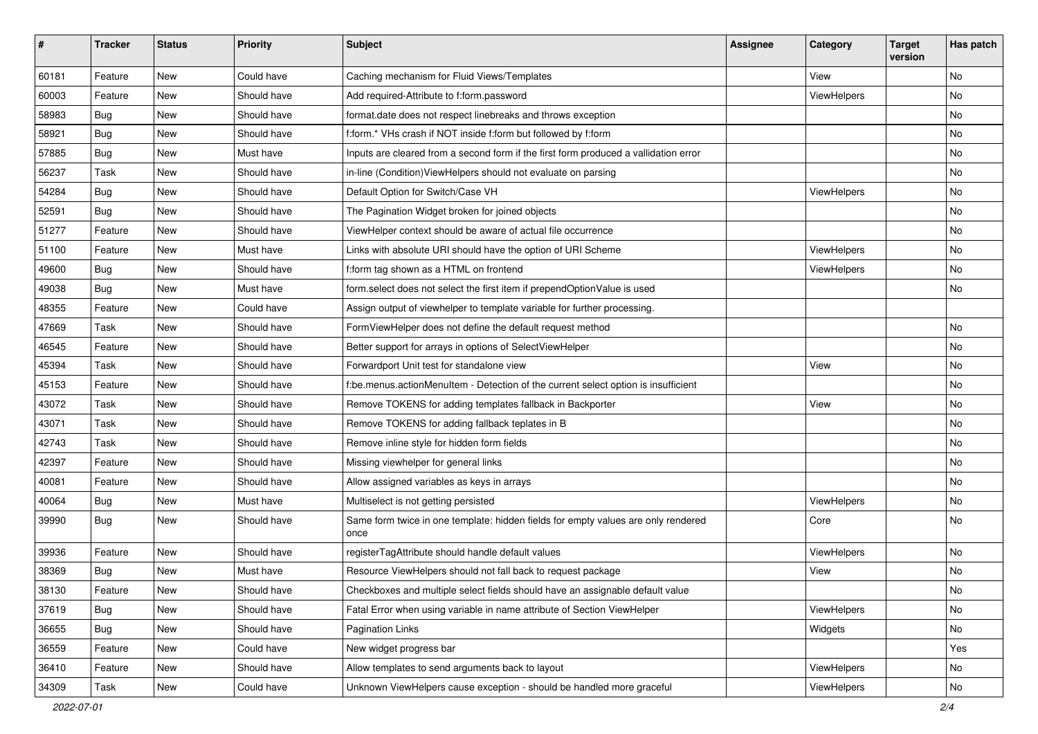| #     | <b>Tracker</b> | <b>Status</b> | <b>Priority</b> | <b>Subject</b>                                                                            | Assignee | Category    | <b>Target</b><br>version | Has patch |
|-------|----------------|---------------|-----------------|-------------------------------------------------------------------------------------------|----------|-------------|--------------------------|-----------|
| 60181 | Feature        | <b>New</b>    | Could have      | Caching mechanism for Fluid Views/Templates                                               |          | View        |                          | <b>No</b> |
| 60003 | Feature        | New           | Should have     | Add required-Attribute to f:form.password                                                 |          | ViewHelpers |                          | No        |
| 58983 | Bug            | New           | Should have     | format.date does not respect linebreaks and throws exception                              |          |             |                          | No        |
| 58921 | Bug            | <b>New</b>    | Should have     | f:form.* VHs crash if NOT inside f:form but followed by f:form                            |          |             |                          | No        |
| 57885 | Bug            | New           | Must have       | Inputs are cleared from a second form if the first form produced a vallidation error      |          |             |                          | No        |
| 56237 | Task           | <b>New</b>    | Should have     | in-line (Condition) ViewHelpers should not evaluate on parsing                            |          |             |                          | No        |
| 54284 | Bug            | New           | Should have     | Default Option for Switch/Case VH                                                         |          | ViewHelpers |                          | No        |
| 52591 | Bug            | New           | Should have     | The Pagination Widget broken for joined objects                                           |          |             |                          | No        |
| 51277 | Feature        | <b>New</b>    | Should have     | ViewHelper context should be aware of actual file occurrence                              |          |             |                          | No        |
| 51100 | Feature        | New           | Must have       | Links with absolute URI should have the option of URI Scheme                              |          | ViewHelpers |                          | No        |
| 49600 | Bug            | <b>New</b>    | Should have     | f:form tag shown as a HTML on frontend                                                    |          | ViewHelpers |                          | <b>No</b> |
| 49038 | Bug            | New           | Must have       | form.select does not select the first item if prependOptionValue is used                  |          |             |                          | No        |
| 48355 | Feature        | <b>New</b>    | Could have      | Assign output of viewhelper to template variable for further processing.                  |          |             |                          |           |
| 47669 | Task           | New           | Should have     | FormViewHelper does not define the default request method                                 |          |             |                          | No        |
| 46545 | Feature        | New           | Should have     | Better support for arrays in options of SelectViewHelper                                  |          |             |                          | No        |
| 45394 | Task           | New           | Should have     | Forwardport Unit test for standalone view                                                 |          | View        |                          | No        |
| 45153 | Feature        | New           | Should have     | f:be.menus.actionMenuItem - Detection of the current select option is insufficient        |          |             |                          | No        |
| 43072 | Task           | New           | Should have     | Remove TOKENS for adding templates fallback in Backporter                                 |          | View        |                          | No        |
| 43071 | Task           | New           | Should have     | Remove TOKENS for adding fallback teplates in B                                           |          |             |                          | No        |
| 42743 | Task           | New           | Should have     | Remove inline style for hidden form fields                                                |          |             |                          | No        |
| 42397 | Feature        | New           | Should have     | Missing viewhelper for general links                                                      |          |             |                          | No        |
| 40081 | Feature        | <b>New</b>    | Should have     | Allow assigned variables as keys in arrays                                                |          |             |                          | No        |
| 40064 | Bug            | New           | Must have       | Multiselect is not getting persisted                                                      |          | ViewHelpers |                          | No        |
| 39990 | Bug            | New           | Should have     | Same form twice in one template: hidden fields for empty values are only rendered<br>once |          | Core        |                          | <b>No</b> |
| 39936 | Feature        | New           | Should have     | registerTagAttribute should handle default values                                         |          | ViewHelpers |                          | No        |
| 38369 | Bug            | New           | Must have       | Resource ViewHelpers should not fall back to request package                              |          | View        |                          | No        |
| 38130 | Feature        | New           | Should have     | Checkboxes and multiple select fields should have an assignable default value             |          |             |                          | No        |
| 37619 | Bug            | New           | Should have     | Fatal Error when using variable in name attribute of Section ViewHelper                   |          | ViewHelpers |                          | No        |
| 36655 | <b>Bug</b>     | New           | Should have     | <b>Pagination Links</b>                                                                   |          | Widgets     |                          | No        |
| 36559 | Feature        | New           | Could have      | New widget progress bar                                                                   |          |             |                          | Yes       |
| 36410 | Feature        | New           | Should have     | Allow templates to send arguments back to layout                                          |          | ViewHelpers |                          | No        |
| 34309 | Task           | New           | Could have      | Unknown ViewHelpers cause exception - should be handled more graceful                     |          | ViewHelpers |                          | No        |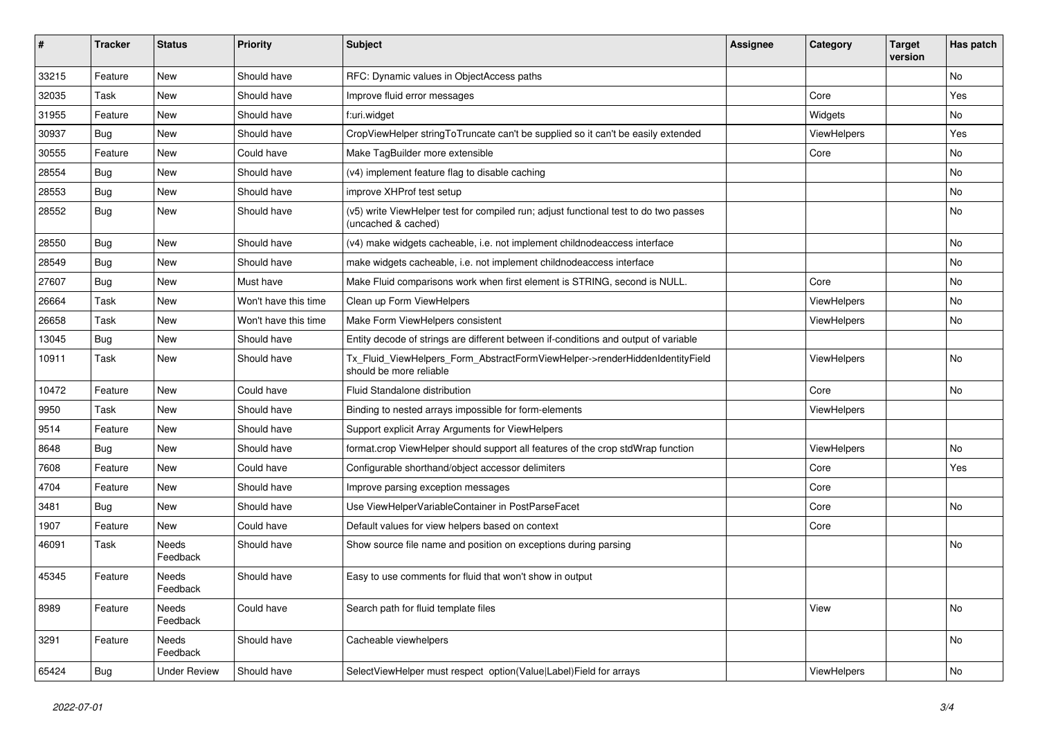| #     | <b>Tracker</b> | <b>Status</b>       | <b>Priority</b>      | <b>Subject</b>                                                                                              | <b>Assignee</b> | Category    | <b>Target</b><br>version | Has patch |
|-------|----------------|---------------------|----------------------|-------------------------------------------------------------------------------------------------------------|-----------------|-------------|--------------------------|-----------|
| 33215 | Feature        | New                 | Should have          | RFC: Dynamic values in ObjectAccess paths                                                                   |                 |             |                          | <b>No</b> |
| 32035 | Task           | New                 | Should have          | Improve fluid error messages                                                                                |                 | Core        |                          | Yes       |
| 31955 | Feature        | New                 | Should have          | f:uri.widget                                                                                                |                 | Widgets     |                          | No        |
| 30937 | Bug            | New                 | Should have          | CropViewHelper stringToTruncate can't be supplied so it can't be easily extended                            |                 | ViewHelpers |                          | Yes       |
| 30555 | Feature        | New                 | Could have           | Make TagBuilder more extensible                                                                             |                 | Core        |                          | No        |
| 28554 | Bug            | New                 | Should have          | (v4) implement feature flag to disable caching                                                              |                 |             |                          | No        |
| 28553 | Bug            | New                 | Should have          | improve XHProf test setup                                                                                   |                 |             |                          | No        |
| 28552 | Bug            | New                 | Should have          | (v5) write ViewHelper test for compiled run; adjust functional test to do two passes<br>(uncached & cached) |                 |             |                          | No        |
| 28550 | Bug            | New                 | Should have          | (v4) make widgets cacheable, i.e. not implement childnodeaccess interface                                   |                 |             |                          | No        |
| 28549 | Bug            | New                 | Should have          | make widgets cacheable, i.e. not implement childnodeaccess interface                                        |                 |             |                          | No        |
| 27607 | Bug            | New                 | Must have            | Make Fluid comparisons work when first element is STRING, second is NULL.                                   |                 | Core        |                          | No        |
| 26664 | Task           | New                 | Won't have this time | Clean up Form ViewHelpers                                                                                   |                 | ViewHelpers |                          | No        |
| 26658 | Task           | New                 | Won't have this time | Make Form ViewHelpers consistent                                                                            |                 | ViewHelpers |                          | No        |
| 13045 | Bug            | New                 | Should have          | Entity decode of strings are different between if-conditions and output of variable                         |                 |             |                          |           |
| 10911 | Task           | New                 | Should have          | Tx_Fluid_ViewHelpers_Form_AbstractFormViewHelper->renderHiddenIdentityField<br>should be more reliable      |                 | ViewHelpers |                          | No        |
| 10472 | Feature        | New                 | Could have           | Fluid Standalone distribution                                                                               |                 | Core        |                          | No        |
| 9950  | Task           | New                 | Should have          | Binding to nested arrays impossible for form-elements                                                       |                 | ViewHelpers |                          |           |
| 9514  | Feature        | New                 | Should have          | Support explicit Array Arguments for ViewHelpers                                                            |                 |             |                          |           |
| 8648  | Bug            | New                 | Should have          | format.crop ViewHelper should support all features of the crop stdWrap function                             |                 | ViewHelpers |                          | No        |
| 7608  | Feature        | New                 | Could have           | Configurable shorthand/object accessor delimiters                                                           |                 | Core        |                          | Yes       |
| 4704  | Feature        | New                 | Should have          | Improve parsing exception messages                                                                          |                 | Core        |                          |           |
| 3481  | Bug            | New                 | Should have          | Use ViewHelperVariableContainer in PostParseFacet                                                           |                 | Core        |                          | No        |
| 1907  | Feature        | New                 | Could have           | Default values for view helpers based on context                                                            |                 | Core        |                          |           |
| 46091 | Task           | Needs<br>Feedback   | Should have          | Show source file name and position on exceptions during parsing                                             |                 |             |                          | <b>No</b> |
| 45345 | Feature        | Needs<br>Feedback   | Should have          | Easy to use comments for fluid that won't show in output                                                    |                 |             |                          |           |
| 8989  | Feature        | Needs<br>Feedback   | Could have           | Search path for fluid template files                                                                        |                 | View        |                          | No        |
| 3291  | Feature        | Needs<br>Feedback   | Should have          | Cacheable viewhelpers                                                                                       |                 |             |                          | No        |
| 65424 | <b>Bug</b>     | <b>Under Review</b> | Should have          | SelectViewHelper must respect option(Value Label)Field for arrays                                           |                 | ViewHelpers |                          | No        |